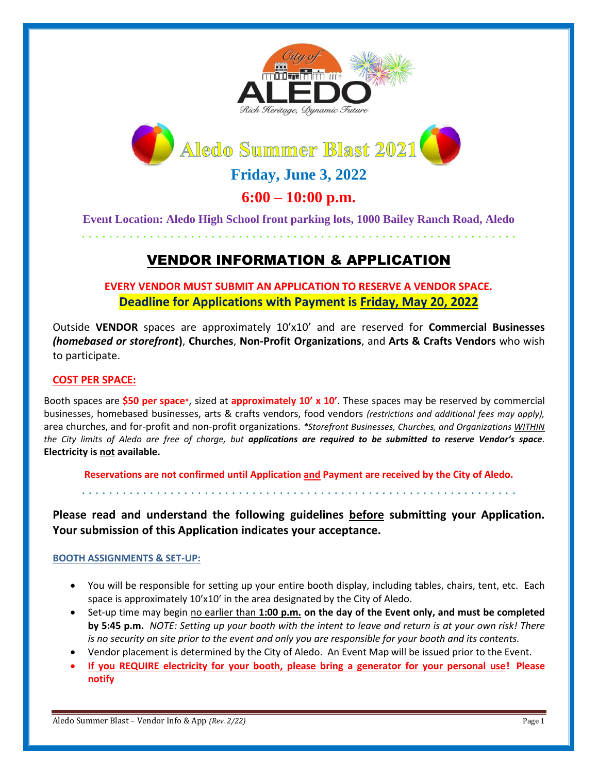



**Friday, June 3, 2022** 

# **6:00 – 10:00 p.m.**

**Event Location: Aledo High School front parking lots, 1000 Bailey Ranch Road, Aledo** . . . . . . . . . . . . . . . . . . . . . . . . . . . . . . . . . . . . . . . . . . . . . . . . . . . . . . . . . . . . . . . .

VENDOR INFORMATION & APPLICATION

**EVERY VENDOR MUST SUBMIT AN APPLICATION TO RESERVE A VENDOR SPACE. Deadline for Applications with Payment is Friday, May 20, 2022**

Outside **VENDOR** spaces are approximately 10'x10' and are reserved for **Commercial Businesses** *(homebased or storefront***)**, **Churches**, **Non-Profit Organizations**, and **Arts & Crafts Vendors** who wish to participate.

## **COST PER SPACE:**

Booth spaces are **\$50 per space\***, sized at **approximately 10' x 10'**. These spaces may be reserved by commercial businesses, homebased businesses, arts & crafts vendors, food vendors *(restrictions and additional fees may apply),* area churches, and for-profit and non-profit organizations. *\*Storefront Businesses, Churches, and Organizations WITHIN the City limits of Aledo are free of charge, but applications are required to be submitted to reserve Vendor's space.*  **Electricity is not available.**

**Reservations are not confirmed until Application and Payment are received by the City of Aledo.** . . . . . . . . . . . . . . . . . . . . . . . . . . . . . . . . . . . . . . . . . . . . . . . . . . . . . . . . . . . . . . . .

**Please read and understand the following guidelines before submitting your Application. Your submission of this Application indicates your acceptance.**

## **BOOTH ASSIGNMENTS & SET-UP:**

- You will be responsible for setting up your entire booth display, including tables, chairs, tent, etc. Each space is approximately 10'x10' in the area designated by the City of Aledo.
- Set-up time may begin no earlier than **1:00 p.m. on the day of the Event only, and must be completed by 5:45 p.m.** *NOTE: Setting up your booth with the intent to leave and return is at your own risk! There is no security on site prior to the event and only you are responsible for your booth and its contents.*
- Vendor placement is determined by the City of Aledo. An Event Map will be issued prior to the Event.
- **If you REQUIRE electricity for your booth, please bring a generator for your personal use! Please notify**

Aledo Summer Blast – Vendor Info & App *(Rev. 2/22)* Page 1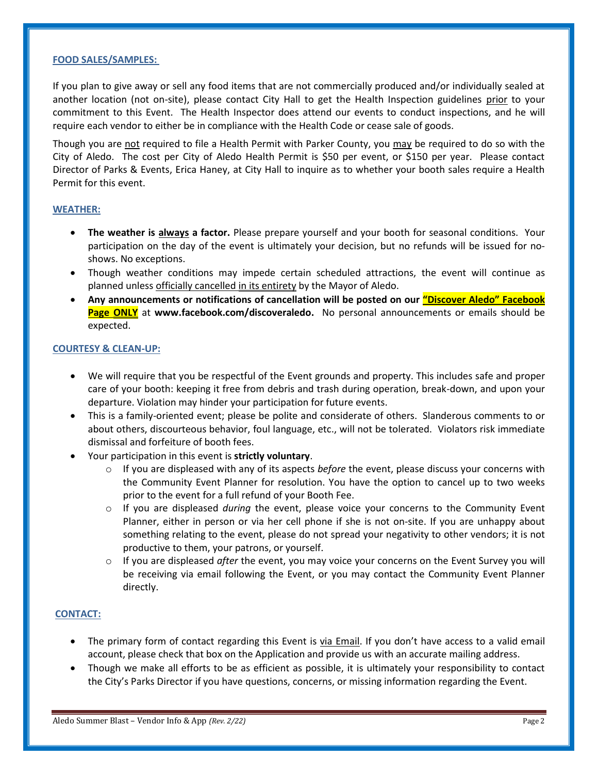#### **FOOD SALES/SAMPLES:**

If you plan to give away or sell any food items that are not commercially produced and/or individually sealed at another location (not on-site), please contact City Hall to get the Health Inspection guidelines prior to your commitment to this Event. The Health Inspector does attend our events to conduct inspections, and he will require each vendor to either be in compliance with the Health Code or cease sale of goods.

Though you are not required to file a Health Permit with Parker County, you may be required to do so with the City of Aledo. The cost per City of Aledo Health Permit is \$50 per event, or \$150 per year. Please contact Director of Parks & Events, Erica Haney, at City Hall to inquire as to whether your booth sales require a Health Permit for this event.

#### **WEATHER:**

- **The weather is always a factor.** Please prepare yourself and your booth for seasonal conditions. Your participation on the day of the event is ultimately your decision, but no refunds will be issued for noshows. No exceptions.
- Though weather conditions may impede certain scheduled attractions, the event will continue as planned unless officially cancelled in its entirety by the Mayor of Aledo.
- **Any announcements or notifications of cancellation will be posted on our "Discover Aledo" Facebook Page ONLY** at **www.facebook.com/discoveraledo.** No personal announcements or emails should be expected.

#### **COURTESY & CLEAN-UP:**

- We will require that you be respectful of the Event grounds and property. This includes safe and proper care of your booth: keeping it free from debris and trash during operation, break-down, and upon your departure. Violation may hinder your participation for future events.
- This is a family-oriented event; please be polite and considerate of others. Slanderous comments to or about others, discourteous behavior, foul language, etc., will not be tolerated. Violators risk immediate dismissal and forfeiture of booth fees.
- Your participation in this event is **strictly voluntary**.
	- o If you are displeased with any of its aspects *before* the event, please discuss your concerns with the Community Event Planner for resolution. You have the option to cancel up to two weeks prior to the event for a full refund of your Booth Fee.
	- o If you are displeased *during* the event, please voice your concerns to the Community Event Planner, either in person or via her cell phone if she is not on-site. If you are unhappy about something relating to the event, please do not spread your negativity to other vendors; it is not productive to them, your patrons, or yourself.
	- o If you are displeased *after* the event, you may voice your concerns on the Event Survey you will be receiving via email following the Event, or you may contact the Community Event Planner directly.

#### **CONTACT:**

- The primary form of contact regarding this Event is via Email. If you don't have access to a valid email account, please check that box on the Application and provide us with an accurate mailing address.
- Though we make all efforts to be as efficient as possible, it is ultimately your responsibility to contact the City's Parks Director if you have questions, concerns, or missing information regarding the Event.